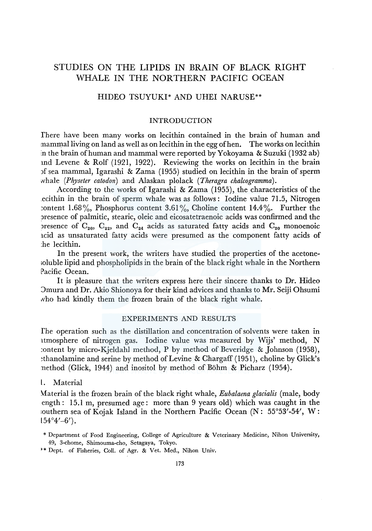# STUDIES ON THE LIPIDS IN BRAIN OF BLACK RIGHT WHALE IN THE NORTHERN PACIFIC OCEAN

# HIDEO TSUYUKI\* AND UHEI NARUSE\*\*

# INTRODUCTION

fhere have been many works on lecithin contained in the brain of human and mammal living on land as well as on lecithin in the egg of hen. The works on lecithin in the brain of human and mammal were reported by Yokoyama & Suzuki (1932 ab) md Levene & Rolf (1921, 1922). Reviewing the works on lecithin in the brain )f sea mammal, Igarashi & Zama (1955) studied on lecithin in the brain of sperm whale *(Physeter catodon)* and Alaskan plolack *(Theragra chalcogramma).* 

According to the works of lgarashi & Zama (1955), the characteristics of the .ecithin in the brain of sperm whale was as follows : Iodine value 71.5, Nitrogen content 1.68%, Phosphorus content 3.61%, Choline content 14.4%. Further the )resence of palmitic, stearic, oleic and eicosatetraenoic acids was confirmed and the presence of  $C_{20}$ ,  $C_{22}$ , and  $C_{24}$  acids as saturated fatty acids and  $C_{20}$  monoenoic acid as unsaturated fatty acids were presumed as the component fatty acids of :he lecithin.

In the present work, the writers have studied the properties of the acetone- ;oluble lipid and phospholipids in the brain of the black right whale in the Northern Pacific Ocean.

It is pleasure that the writers express here their sincere thanks to Dr. Hideo '.)mura and Dr. Akio Shionoya for their kind advices and thanks to Mr. Seiji Ohsumi who had kindly them the frozen brain of the black right whale.

# EXPERIMENTS AND RESULTS

fhe operation such as the distillation and concentration of solvents were taken in ltmosphere of nitrogen gas. Iodine value was measured by Wijs' method, N :ontent by micro-Kjeldahl method, P by method of Beveridge & Johnson (1958), ~thanolamine and serine by method of Levine & Chargaff (1951), choline by Glick's method (Glick, 1944) and inositol by method of Bohm & Picharz (1954).

# l. Material

Material is the frozen brain of the black right whale, *Eubalaena glacialis* (male, body ength: 15.1 m, presumed age: more than 9 years old) which was caught in the :outhern sea of Kojak Island in the Northern Pacific Ocean (N: 55°53'-54', W:  $154^{\circ}4' - 6'$ ).

<sup>\*</sup>Department of Food Engineering, College of Agriculture & Veterinary Medicine, Nihon University, 49, 3-chome, Shimouma-cho, Setagaya, Tokyo.

<sup>\*\*</sup> Dept. of Fisheries, Coll. of Agr. & Vet. Med., Nihon Univ.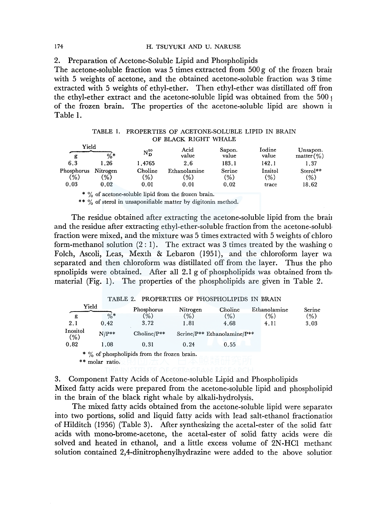#### 174 H. TSUYUKI AND U. NARUSE

2. Preparation of Acetone-Soluble Lipid and Phospholipids

The acetone-soluble fraction was 5 times extracted from  $500 g$  of the frozen brair with 5 weights of acetone, and the obtained acetone-soluble fraction was 3 time extracted with 5 weights of ethyl-ether. Then ethyl-ether was distillated off fron the ethyl-ether extract and the acetone-soluble lipid was obtained from the 500  $\epsilon$ of the frozen brain. The properties of the acetone-soluble lipid are shown ii Table 1.

TABLE I. PROPERTIES OF ACETONE-SOLUBLE LIPID IN BRAIN OF BLACK RIGHT WHALE

| Yield<br>g | $%$ *         | $\mathrm{N}^{20}_\mathrm{\,D}$ | Acid<br>value | Sapon.<br>value | Iodine<br>value | Unsapon.<br>matter (%) |
|------------|---------------|--------------------------------|---------------|-----------------|-----------------|------------------------|
| 6.3        | l . 26        | 1.4765                         | 2.6           | 183.1           | 142.1           | 1.37                   |
| Phosphorus | Nitrogen      | Choline                        | Ethanolamine  | Serine          | Insitol         | Sterol**               |
| (%)        | $\frac{1}{2}$ | '%)                            | $\frac{9}{6}$ | (%)             | (% )            | (%)                    |
| 0.03       | 0.02          | 0.01                           | 0.01          | 0.02            | trace           | 18.62                  |

\* % of acetone-soluble lipid from the frozen brain.

\*\* % of sterol in unsaponifiable matter by digitonin method.

The residue obtained after extracting the acetone-soluble lipid from the brain and the residue after extracting ethyl-ether-soluble fraction from the acetone-solubl, fraction were mixed, and the mixture was 5 times extracted with 5 weights of chloro form-methanol solution  $(2:1)$ . The extract was 3 times treated by the washing o Folch, Ascoli, Leas, Mexth & Lebaron (1951), and the chloroform layer wa separated and then chloroform was distillated off from the layer. Thus the pho spnolipids were obtained. After all 2.1 g of phospholipids was obtained from the material (Fig. 1). The properties of the phospholipids are given in Table 2.

## TABLE 2. PROPERTIES OF PHOSPHOLIPIDS IN BRAIN

| terial (Fig. 1). The properties of the phospholipids are given in Table 2. |       |         |          |                                             |          |                             |  |              |      |        |
|----------------------------------------------------------------------------|-------|---------|----------|---------------------------------------------|----------|-----------------------------|--|--------------|------|--------|
|                                                                            |       |         | TABLE 2. | PROPERTIES OF PHOSPHOLIPIDS IN BRAIN        |          |                             |  |              |      |        |
|                                                                            | Yield |         |          | Phosphorus                                  | Nitrogen | Choline                     |  | Ethanolamine |      | Serine |
| g                                                                          |       | $0/n$ * |          | (%)                                         | (% )     | (% )                        |  | (%)          | (%)  |        |
| 2.1                                                                        |       | 0.42    |          | 3.72                                        | 1.81     | 4.68                        |  | 4.11         | 3.03 |        |
| Inositol<br>(% )                                                           |       | $N/P**$ |          | $Choline/P**$                               |          | Serine/P** Ethanolamine/P** |  |              |      |        |
| 0.82                                                                       |       | 1.08    |          | 0.31                                        | 0.24     | 0.55                        |  |              |      |        |
|                                                                            |       |         |          | * % of phospholipids from the frozen brain. |          |                             |  |              |      |        |

\* \* molar ratio.

3. Component Fatty Acids of Acetone-soluble Lipid and Phospholipids Mixed fatty acids were prepared from the acetone-soluble lipid and phospholipid in the brain of the black right whale by alkali-hydrolysis.

The mixed fatty acids obtained from the acetone-soluble lipid were separated into two portions, solid and liquid fatty acids with lead salt-ethanol fractionatio1 of Hilditch (1956) (Table 3). After synthesizing the acetal-ester of the solid fatt acids with mono-brome-acetone, the acetal-ester of solid fatty acids were dis solved and heated in ethanol, and a little excess volume of 2N-HC1 methane solution contained 2,4-dinitrophenylhydrazine were added to the above solutior: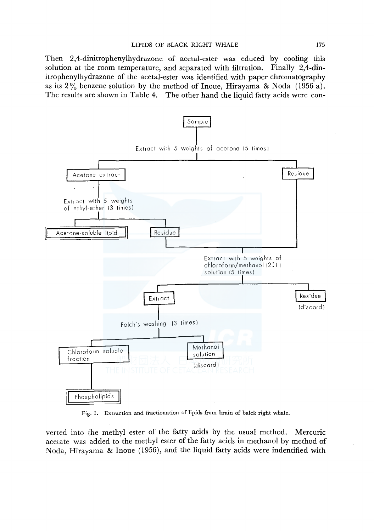Then 2,4-dinitrophenylhydrazone of acetal-ester was educed by cooling this solution at the room temperature, and separated with filtration. Finally 2,4-dinitrophenylhydrazone of the acetal-ester was identified with paper chromatography as its  $2\%$  benzene solution by the method of Inoue, Hirayama & Noda (1956 a). The results are shown in Table 4. The other hand the liquid fatty acids were con-



Fig. 1. Extraction and fractionation of lipids from brain of balck right whale.

verted into the methyl ester of the fatty acids by the usual method. Mercuric acetate was added to the methyl ester of the fatty acids in methanol by method of Noda, Hirayama & Inoue (1956), and the liquid fatty acids were indentified with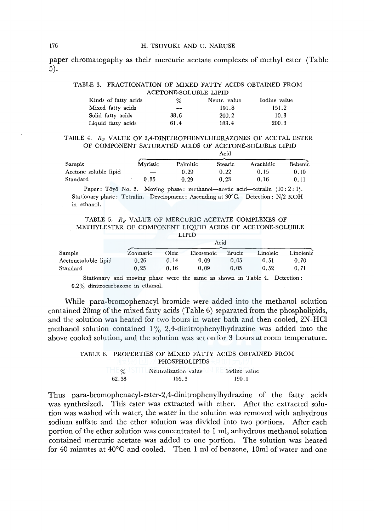#### 176 H. TSUYUKI AND U. NARUSE

paper chromatogaphy as their mercuric acetate complexes of methyl ester (Table 5).

## TABLE 3. FRACTIONATION OF MIXED FATTY ACIDS OBTAINED FROM ACETONE-SOLUBLE LIPID

| Kinds of fatty acids | %    | Neutr. value | Iodine value |
|----------------------|------|--------------|--------------|
| Mixed fatty acids    | $-$  | 191.8        | 151.2        |
| Solid fatty acids    | 38.6 | 200.2        | 10.3         |
| Liquid fatty acids   | 61.4 | 183.4        | 200.3        |

#### TABLE 4.  $R_F$  VALUE OF 2,4-DINITROPHENYLHIDRAZONES OF ACETAL ESTER OF COMPONENT SATURATED ACIDS OF ACETONE-SOLUBLE LIPID

Acid

|                       |          |          | .       |           |         |
|-----------------------|----------|----------|---------|-----------|---------|
| Sample                | Myristic | Palmitic | Stearic | Arachidic | Behenic |
| Acetone soluble lipid |          | 0.29     | 0.22    | 0.15      | 0.10    |
| Standard              | 0.35     | 0.29     | 0.23    | 0.16      | 0.11    |

Paper: Tōyō No. 2. Moving phase: methanol—acetic acid—tetralin  $(10:2:1)$ . Stationary phase: Tetralin. Development: Ascending at 30°C. Detection: N/2 KOH in ethanol.

| TABLE 5. $R_F$ VALUE OF MERCURIC ACETATE COMPLEXES OF    |  |        |  |  |  |
|----------------------------------------------------------|--|--------|--|--|--|
| METHYLESTER OF COMPONENT LIOUID ACIDS OF ACETONE-SOLUBLE |  |        |  |  |  |
|                                                          |  | LIPID. |  |  |  |

|                      | Acid                                                                      |       |            |        |          |           |  |  |  |  |
|----------------------|---------------------------------------------------------------------------|-------|------------|--------|----------|-----------|--|--|--|--|
| Sample               | Zoomaric                                                                  | Oleic | Eicosenoic | Erucic | Linoleic | Linolenic |  |  |  |  |
| Acetonesoluble lipid | 0.26                                                                      | 0.14  | 0.09       | 0.05   | 0.51     | 0.70      |  |  |  |  |
| Standard             | 0.25                                                                      | 0.16  | 0.09       | 0.05   | 0.52     | 0.71      |  |  |  |  |
|                      | Stationary and moving phase were the same as shown in Table 4. Detection: |       |            |        |          |           |  |  |  |  |

0.2% dinitrocarbazone in ethanol.

While para-bromophenacyl bromide were added into the methanol solution contained 20mg of the mixed fatty acids (Table 6) separated from the phospholipids, and the solution was heated for two hours in water bath and then cooled, 2N-HC1 methanol solution contained  $1\%$  2,4-dinitrophenylhydrazine was added into the above cooled solution, and the solution was set on for 3 hours at room temperature.

#### TABLE 6. PROPERTIES OF MIXED FATTY ACIDS OBTAINED FROM PHOSPHOLIPIDS  $\blacksquare$ % 62.38 Neutralization value Iodine value 155.3 190.1

Thus para-bromophenacyl-ester-2,4-dinitrophenylhydrazine of the fatty . acids was synthesized. This ester was extracted with ether. After the extracted solution was washed with water, the water in the solution was removed with anhydrous sodium sulfate and the ether solution was divided into two portions. After each portion of the ether solution was concentrated to 1 ml, anhydrous methanol solution contained mercuric acetate was added to one portion. The solution was heated for 40 minutes at 40°C and cooled. Then 1 ml of benzene, lOml of water and one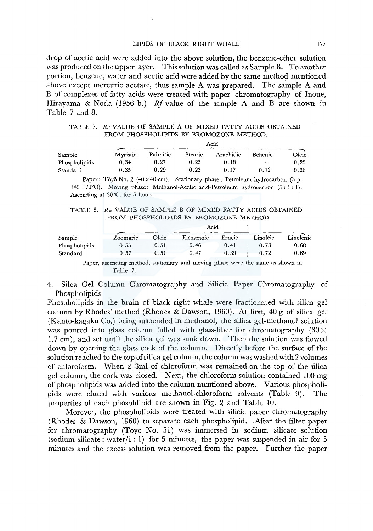## LIPIDS OF BLACK RIGHT WHALE 177

drop of acetic acid were added into the above solution, the benzene-ether solution was produced on the upper layer. This solution was called as Sample B. To another portion, benzene, water and acetic acid were added by the same method mentioned above except mercuric acetate, thus sample A was prepared. The sample A and B of complexes of fatty acids were treated with paper chromatography of Inoue, Hirayama & Noda (1956 b.) *Rf* value of the sample A and B are shown in Table 7 and 8.

| TABLE 7. RF VALUE OF SAMPLE A OF MIXED FATTY ACIDS OBTAINED |  |
|-------------------------------------------------------------|--|
| FROM PHOSPHOLIPIDS BY BROMOZONE METHOD.                     |  |

|               | Acid     |          |         |           |         |       |  |
|---------------|----------|----------|---------|-----------|---------|-------|--|
| Sample        | Mvristic | Palmitic | Stearic | Arachidic | Behenic | Oleic |  |
| Phospholipids | 0.34     | 0.27     | 0.23    | 0.18      | $\sim$  | 0.25  |  |
| Standard      | 0.35     | 0.29     | 0.23    | 0.17      | 0.12    | 0.26  |  |

Paper: Tōyō No. 2 (40  $\times$  40 cm). Stationary phase: Petroleum hydrocarbon (b.p. 140-170°C). Moving phase: Methanol-Acetic acid-Petroleum hydrocarbon (5: l: l). Ascending at 30°C. for 5 hours.

TABLE 8.  $R_F$  VALUE OF SAMPLE B OF MIXED FATTY ACIDS OBTAINED FROM PHOSPHOLIPIDS BY BROMOZONE METHOD

|               | Acid     |       |                   |        |          |           |  |  |
|---------------|----------|-------|-------------------|--------|----------|-----------|--|--|
| Sample        | Zoomaric | Oleic | <b>Eicosenoic</b> | Erucic | Linoleic | Linolenic |  |  |
| Phospholipids | 0.55     | 0.51  | 0.46              | 0.41   | 0.73     | 0.68      |  |  |
| Standard      | 0.57     | 0.51  | 0.47              | 0.39   | 0.72     | 0.69      |  |  |

Paper, ascending method, stationary and moving phase were the same as shown in Table 7.

4. Silca Gel Column Chromatography and Silicic Paper Chromatography of Phospholipids

Phospholipids in the brain of black right whale were fractionated with silica gel column by Rhodes' method (Rhodes & Dawson, 1960). At first, 40 g of silica gel (Kanto-kagaku Co.) being suspended in methanol, the silica gel-methanol solution was poured into glass column fulled with glass-fiber for chromatography  $(30 \times$ 1.7 cm), and set until the silica gel was sunk down. Then the solution was flowed down by opening the glass cock of the column. Directly before the surface of the solution reached to the top of silica gel column, the column was washed with2 volumes of chloroform. When 2-3ml of chloroform was remained on the top of the silica gel column, the cock was closed. Next, the chloroform solution contained 100 mg of phospholipids was added into the column mentioned above. Various phospholipids were eluted with various methanol-chloroform solvents (Table 9). The properties of each phosphlipid are shown in Fig. 2 and Table 10.

Morever, the phospholipids were treated with silicic paper chromatography (Rhodes & Dawson, 1960) to separate each phospholipid. After the filter paper for chromatography (Toyo No. 51) was immersed in sodium silicate solution (sodium silicate: water/1:1) for 5 minutes, the paper was suspended in air for 5 minutes and the excess solution was removed from the paper. Further the paper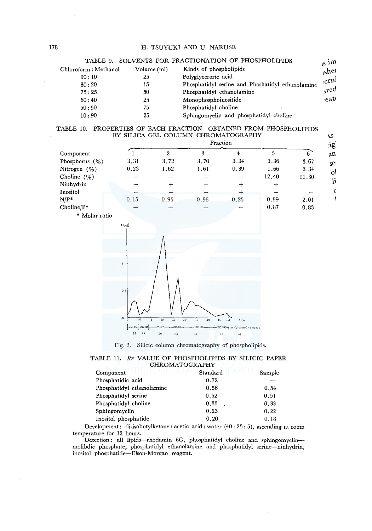|                       |             | TABLE 9. SOLVENTS FOR FRACTIONATION OF PHOSPHOLIPIDS | $\sin$          |
|-----------------------|-------------|------------------------------------------------------|-----------------|
| Chloroform : Methanol | Volume (ml) | Kinds of phospholipids                               | $_{\rm is}$ hec |
| 90:10                 | 25          | Polyglyceroric acid                                  | er <sub>n</sub> |
| 80:20                 | 15          | Phosphatidyl serine and Phoshatidyl ethanolamine     |                 |
| 75:25                 | 50          | Phosphatidyl ethanolamine                            | ared            |
| 60:40                 | 25          | Monophosphoinositide                                 | eat(            |
| 50:50                 | 75          | Phosphatidyl choline                                 |                 |
| 10:90                 | 25          | Sphingomyelin and phosphatidyl choline               |                 |
|                       |             |                                                      |                 |

#### TABLE 10. PROPERTIES OF EACH FRACTION OBTAINED FROM PHOSPHOLIPIDS BY SILICA GEL COLUMN CHROMATOGRAPHY

|                   | BY SILICA GEL COLUMN CHROMATOGRAPHY |                 |      |          |        |       |
|-------------------|-------------------------------------|-----------------|------|----------|--------|-------|
|                   |                                     |                 |      | Fraction |        |       |
| Component         |                                     |                 | 3    |          | 5      | 6     |
| Phosphorus $(\%)$ | 3.31                                | 3.72            | 3.70 | 3.34     | 3.36   | 3.67  |
| Nitrogen $(\% )$  | 0.23                                | 1.62            | 1.61 | 0.39     | 1.66   | 3.34  |
| Choline $(\%)$    |                                     |                 |      |          | 12.40  | 11.30 |
| Ninhydrin         |                                     | $^{\mathrm{+}}$ |      | +        | $\div$ |       |
| Inositol          |                                     |                 |      | ≁        | +      |       |
| $N/P^*$           | 0.15                                | 0.95            | 0.96 | 0.25     | 0.99   | 2.01  |
| Choline/ $P^*$    | --                                  |                 |      |          | 0.87   | 0.83  |

\* Molar ratio



Fig. 2. Silicic column chromatography of phospholipids.

|                       |  |  |  | TABLE 11. RF VALUE OF PHOSPHOLIPIDS BY SILICIC PAPER |  |  |  |  |  |
|-----------------------|--|--|--|------------------------------------------------------|--|--|--|--|--|
| <b>CHROMATOGRAPHY</b> |  |  |  |                                                      |  |  |  |  |  |

| SHI UTE OF CETA<br>Component | Standard | Sample |
|------------------------------|----------|--------|
| Phosphatidic acid            | 0.72     |        |
| Phosphatidyl ethanolamine    | 0.56     | 0.54   |
| Phosphatidyl serine          | 0.52     | 0.51   |
| Phosphatidyl choline         | 0.33     | 0.33   |
| Sphingomyelin                | 0.23     | 0.22   |
| Inositol phosphatide         | 0.20     | 0.18   |

Development: di-isobutylketone: acetic acid: water (40: 25: 5), ascending at room temperature for 12 hours.

Detection: all lipids-rhodamin 6G, phosphatidyl choline and sphingomyelinmolibdic phosphate, phosphatidyl ethanolamine and phosphatidyl serine-ninhydrin, inositol phosphatide-Elson-Morgan reagent.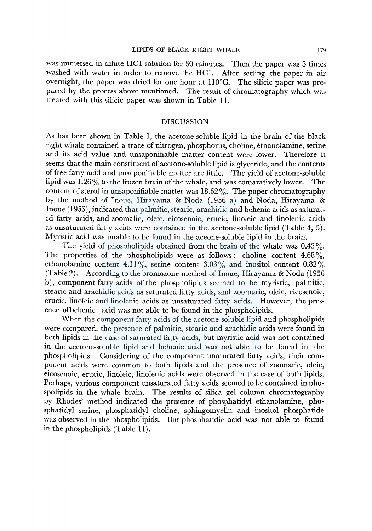was immersed in dilute HCl solution for 30 minutes. Then the paper was 5 times washed with water in order to remove the HCI. After setting the paper in air overnight, the paper was dried for one hour at ll0°C. The silicic paper was prepared by the process above mentioned. The result of chromatography which was treated with this silicic paper was shown in Table 11.

#### DISCUSSION

As has been shown in Table 1, the acetone-soluble lipid in the brain of the black right whale contained a trace of nitrogen, phosphorus, choline, ethanolamine, serine and its acid value and unsaponifiable matter content were lower. Therefore it seems that the main constituent of acetone-soluble lipid is glyceride, and the contents of free fatty acid and unsaponifiable matter are little. The yield of acetone-soluble lipid was 1.26% to the frozen brain of the whale, and was comaratively lower. The content of sterol in unsaponifiable matter was 18.62 %. The paper chromatography by the method of Inoue, Hirayama & Noda (1956 a) and Noda, Hirayama & Inoue (1956), indicated that palmitic, stearic, arachidic and behenic acids as saturated fatty acids, and zoomalic, oleic, eicosenoic, erucic, linoleic and linolenic acids as unsaturated fatty acids were contained in the acetone-soluble lipid (Table 4, 5). Myristic acid was unable to be found in the aceone-soluble lipid in the brain.

The yield of phospholipids obtained from the brain of the whale was  $0.42\%$ . The properties of the phospholipids were as follows: choline content  $4.68\%$ , ethanolamine content 4.11%, serine content 3.03% and inositol content 0.82% (Table 2). According to the bromozone method of Inoue, Hirayama & Noda (1956 b), component fatty acids of the phospholipids seemed to be myristic, palmitic, stearic and arachidic acids as saturated fatty acids, and zoomaric, oleic, eicosenoic, erucic, linoleic and linolenic acids as unsaturated fatty acids. However, the presence ofbehenic acid was not able to be found in the phospholipids.

When the component fatty acids of the acetone-soluble lipid and phospholipids were compared, the presence of palmitic, stearic and arachidic acids were found in both lipids in the case of saturated fatty acids, but myristic acid was not contained in the acetone-soluble lipid and behenic acid was not able to be found in the phospholipids. Considering of the component unaturated fatty acids, their component acids were common to both lipids and the presence of zoomaric, oleic, eicosenoic, erucic, linoleic, linolenic acids were observed in the case of both lipids. Perhaps, various component unsaturated fatty acids seemed to be contained in phospolipids in the whale brain. The results of silica gel column chromatography by Rhodes' method indicated the presence of phosphatidyl ethanolamine, phosphatidyl serine, phosphatidyl choline, sphingomyelin and inositol phosphatide was observed in the phospholipids. But phosphatidic acid was not able to found in the phospholipids (Table 11).